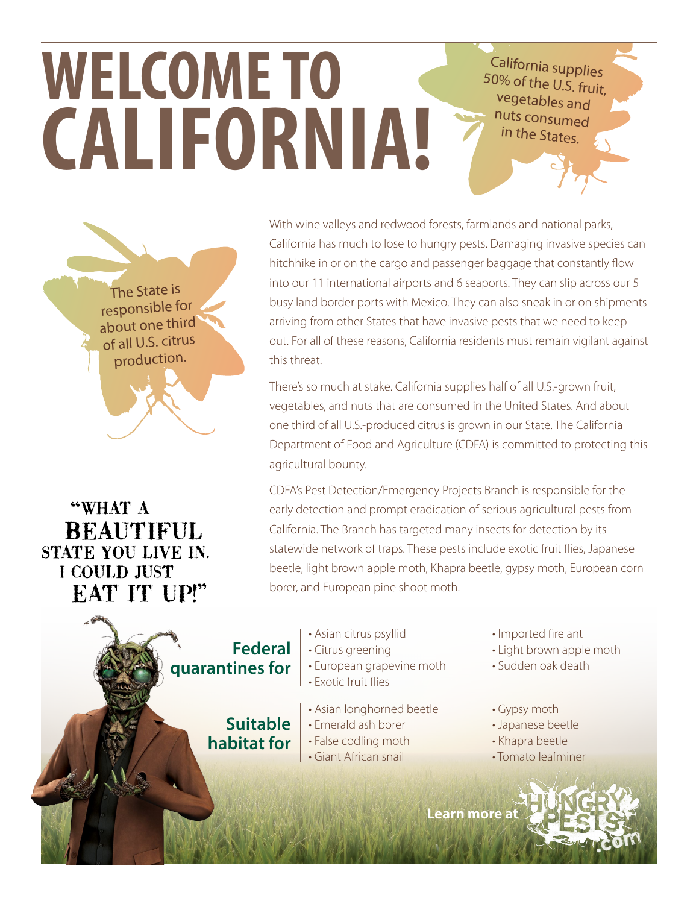California supplies 50% of the U.S. fruit, vegetables and nuts consumed in the States.

The State is responsible for about one third of all U.S. citrus production.

**WELCOME TO**

**CALIFORNIA!**

"WHAT A **BEAUTIFUL** STATE YOU LIVE IN. **I COULD JUST EAT IT UP!"** 

With wine valleys and redwood forests, farmlands and national parks, California has much to lose to hungry pests. Damaging invasive species can hitchhike in or on the cargo and passenger baggage that constantly flow into our 11 international airports and 6 seaports. They can slip across our 5 busy land border ports with Mexico. They can also sneak in or on shipments arriving from other States that have invasive pests that we need to keep out. For all of these reasons, California residents must remain vigilant against this threat.

There's so much at stake. California supplies half of all U.S.-grown fruit, vegetables, and nuts that are consumed in the United States. And about one third of all U.S.-produced citrus is grown in our State. The California Department of Food and Agriculture (CDFA) is committed to protecting this agricultural bounty.

CDFA's Pest Detection/Emergency Projects Branch is responsible for the early detection and prompt eradication of serious agricultural pests from California. The Branch has targeted many insects for detection by its statewide network of traps. These pests include exotic fruit flies, Japanese beetle, light brown apple moth, Khapra beetle, gypsy moth, European corn borer, and European pine shoot moth.



- Asian citrus psyllid
- Citrus greening
- European grapevine moth
- Exotic fruit flies
- Asian longhorned beetle
- Emerald ash borer
- False codling moth
- Giant African snail
- Imported fire ant
- Light brown apple moth
- Sudden oak death
- Gypsy moth
- Japanese beetle
- Khapra beetle
- Tomato leafminer

**Learn mor[e at](http://www.hungrypests.com)**